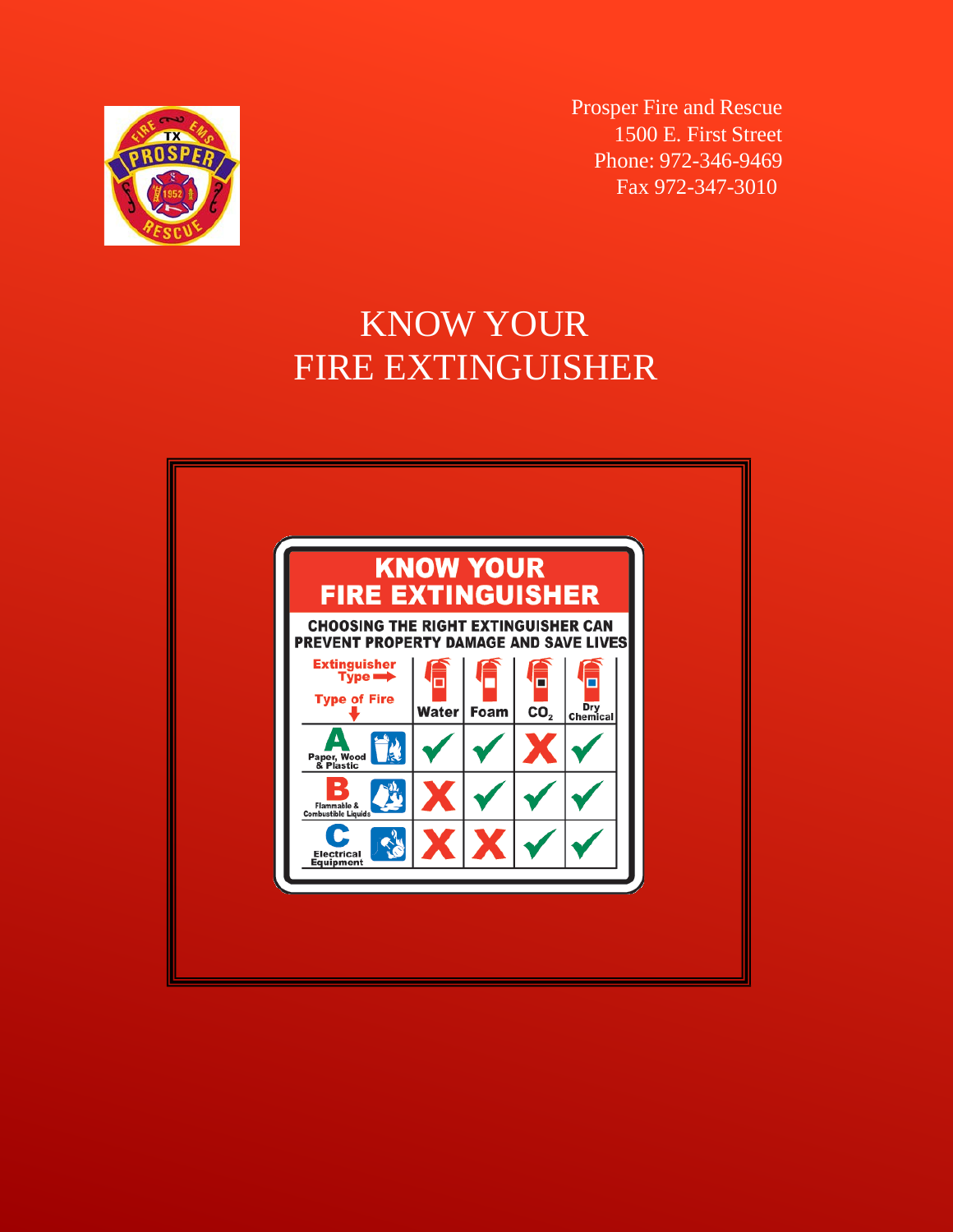

Prosper Fire and Rescue 1500 E. First Street Phone: 972-346-9469 Fax 972-347-3010

# KNOW YOUR FIRE EXTINGUISHER

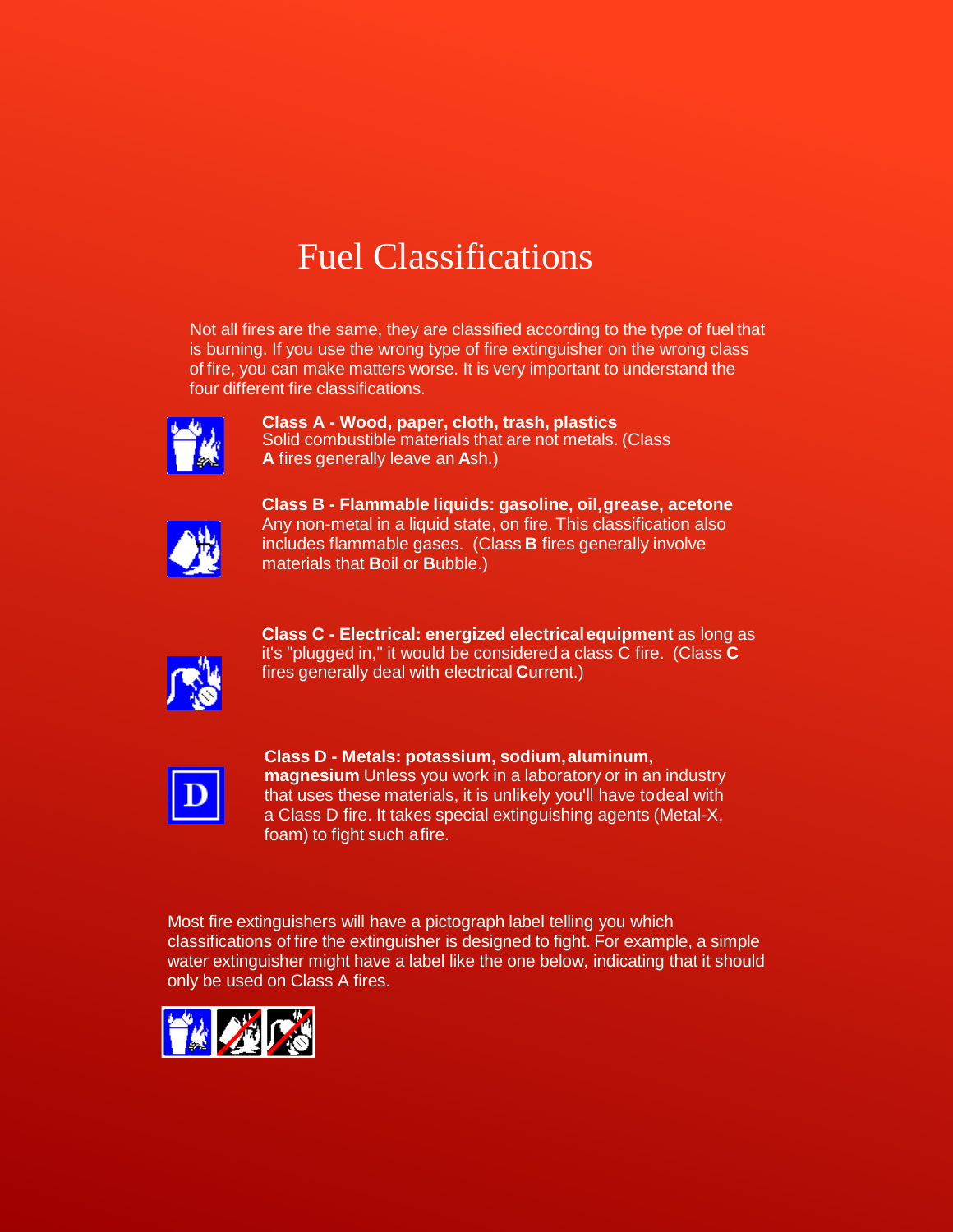# Fuel Classifications

Not all fires are the same, they are classified according to the type of fuel that is burning. If you use the wrong type of fire extinguisher on the wrong class of fire, you can make matters worse. It is very important to understand the four different fire classifications.



**Class A - Wood, paper, cloth, trash, plastics** Solid combustible materials that are not metals. (Class **A** fires generally leave an **A**sh.)



**Class B - Flammable liquids: gasoline, oil,grease, acetone** Any non-metal in a liquid state, on fire. This classification also includes flammable gases. (Class **B** fires generally involve materials that **B**oil or **B**ubble.)



**Class C - Electrical: energized electricalequipment** as long as it's "plugged in," it would be considered a class C fire. (Class **C** fires generally deal with electrical **C**urrent.)



**Class D - Metals: potassium, sodium,aluminum, magnesium** Unless you work in a laboratory or in an industry that uses these materials, it is unlikely you'll have todeal with a Class D fire. It takes special extinguishing agents (Metal-X, foam) to fight such afire.

Most fire extinguishers will have a pictograph label telling you which classifications of fire the extinguisher is designed to fight. For example, a simple water extinguisher might have a label like the one below, indicating that it should only be used on Class A fires.

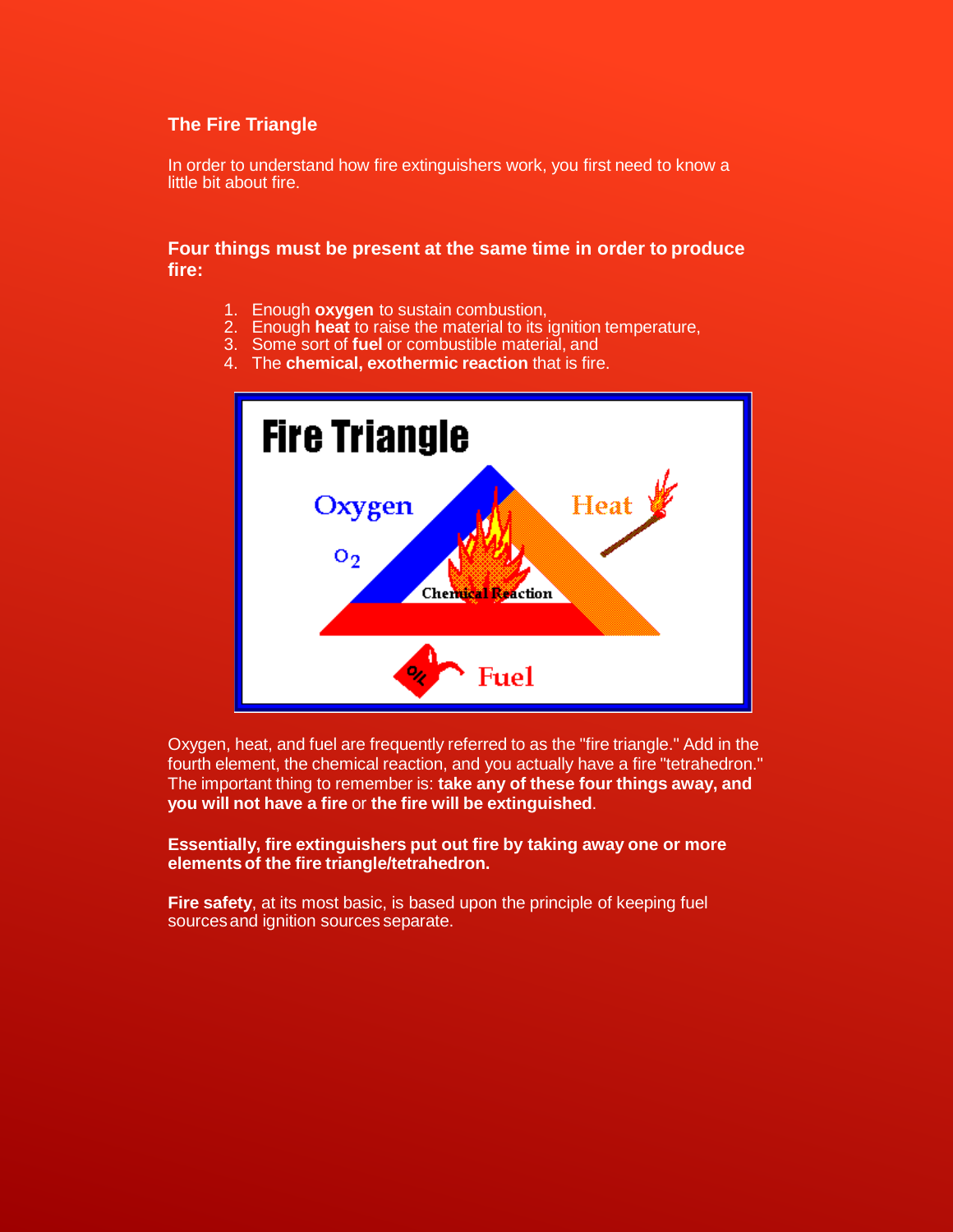## **The Fire Triangle**

In order to understand how fire extinguishers work, you first need to know a little bit about fire.

## **Four things must be present at the same time in order to produce fire:**

- 1. Enough **oxygen** to sustain combustion,
- 2. Enough **heat** to raise the material to its ignition temperature,
- 3. Some sort of **fuel** or combustible material, and
- 4. The **chemical, exothermic reaction** that is fire.



Oxygen, heat, and fuel are frequently referred to as the "fire triangle." Add in the fourth element, the chemical reaction, and you actually have a fire "tetrahedron." The important thing to remember is: **take any of these four things away, and you will not have a fire** or **the fire will be extinguished**.

#### **Essentially, fire extinguishers put out fire by taking away one or more elementsof the fire triangle/tetrahedron.**

**Fire safety, at its most basic, is based upon the principle of keeping fuel** sources and ignition sources separate.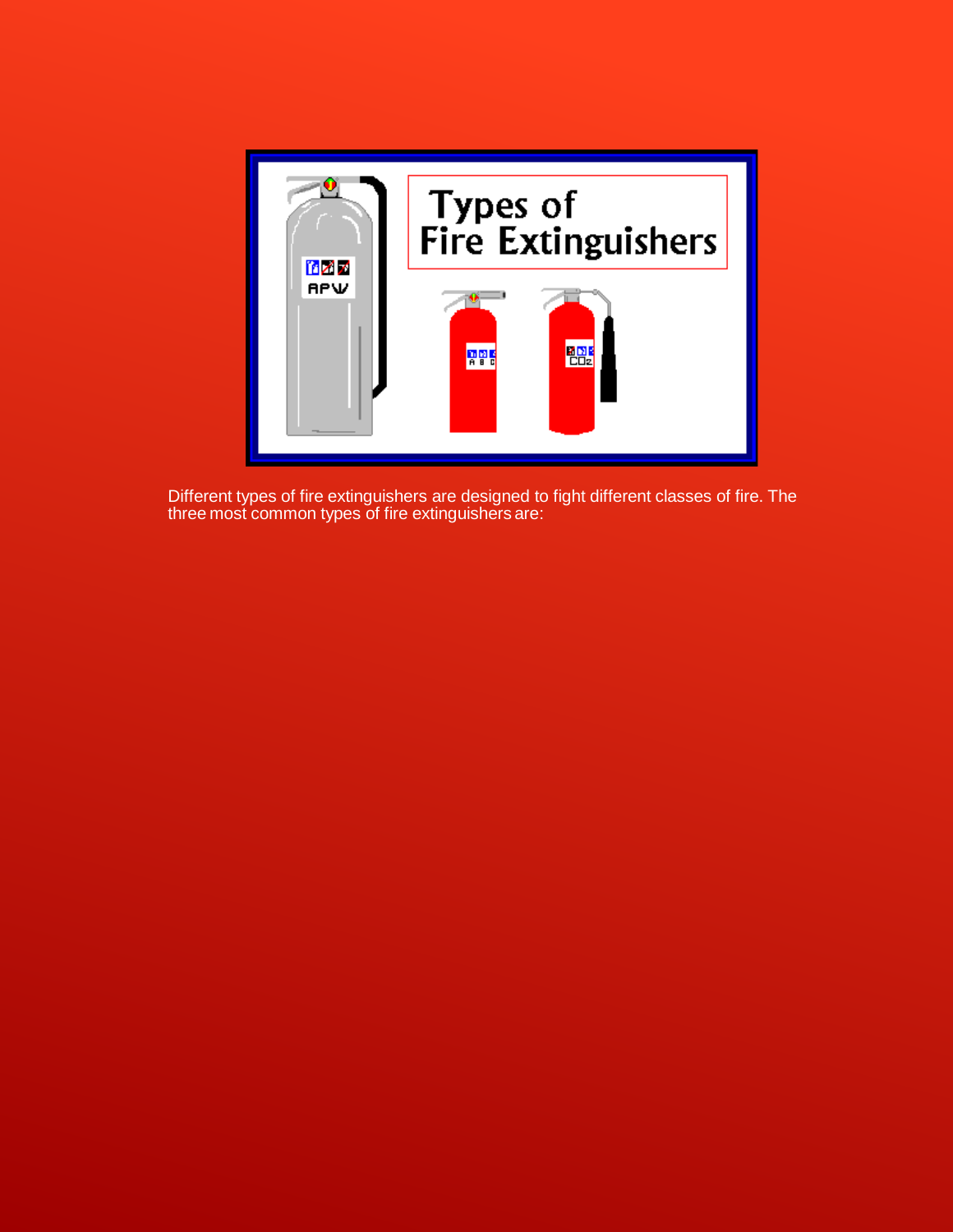

Different types of fire extinguishers are designed to fight different classes of fire. The three most common types of fire extinguishers are: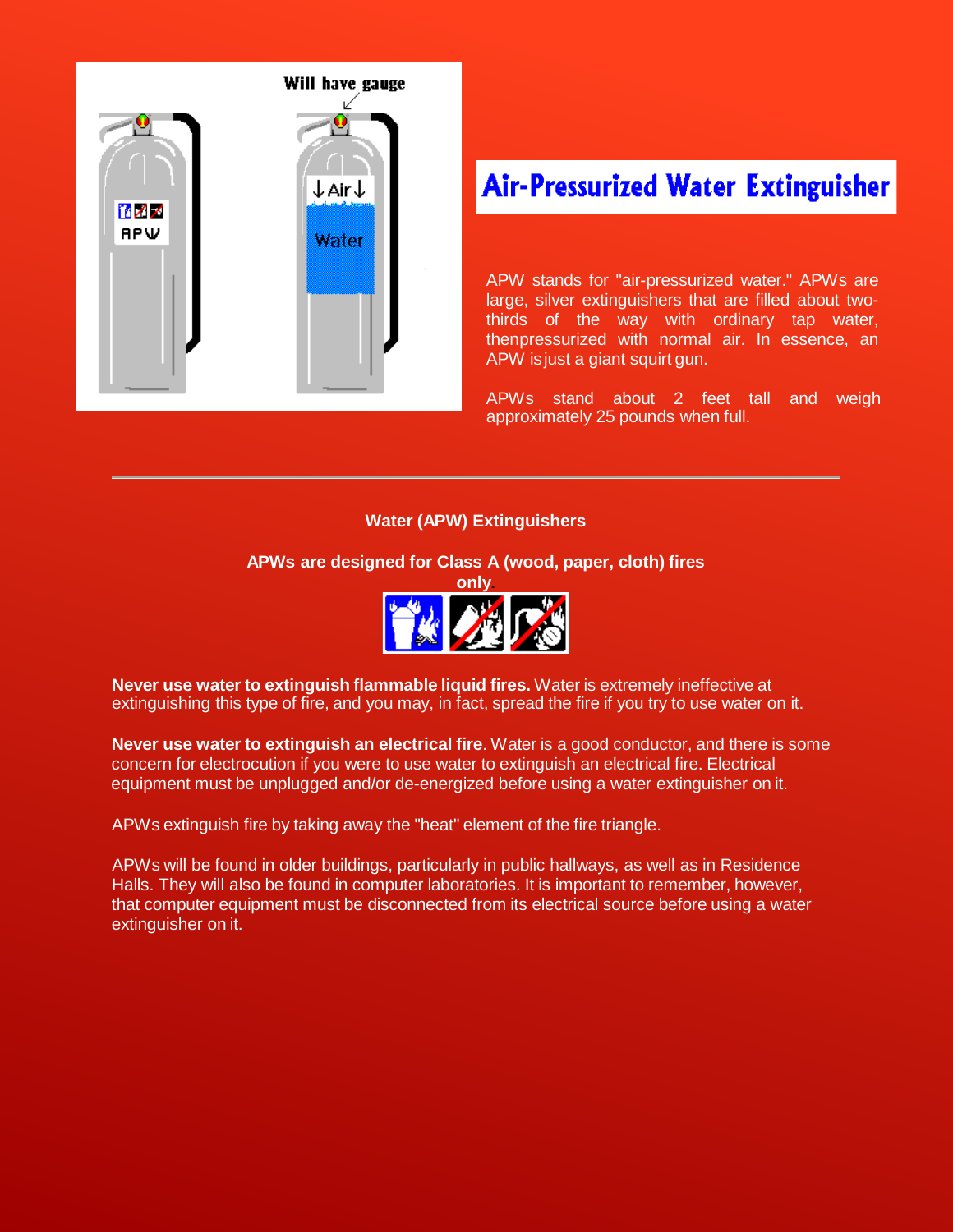

## **Air-Pressurized Water Extinguisher**

APW stands for "air-pressurized water." APWs are large, silver extinguishers that are filled about twothirds of the way with ordinary tap water, thenpressurized with normal air. In essence, an APW isjust a giant squirt gun.

APWs stand about 2 feet tall and weigh approximately 25 pounds when full.

## **Water (APW) Extinguishers**

## **APWs are designed for Class A (wood, paper, cloth) fires**



**Never use water to extinguish flammable liquid fires.** Water is extremely ineffective at extinguishing this type of fire, and you may, in fact, spread the fire if you try to use water on it.

**Never use water to extinguish an electrical fire**. Water is a good conductor, and there is some concern for electrocution if you were to use water to extinguish an electrical fire. Electrical equipment must be unplugged and/or de-energized before using a water extinguisher on it.

APWs extinguish fire by taking away the "heat" element of the fire triangle.

APWs will be found in older buildings, particularly in public hallways, as well as in Residence Halls. They will also be found in computer laboratories. It is important to remember, however, that computer equipment must be disconnected from its electrical source before using a water extinguisher on it.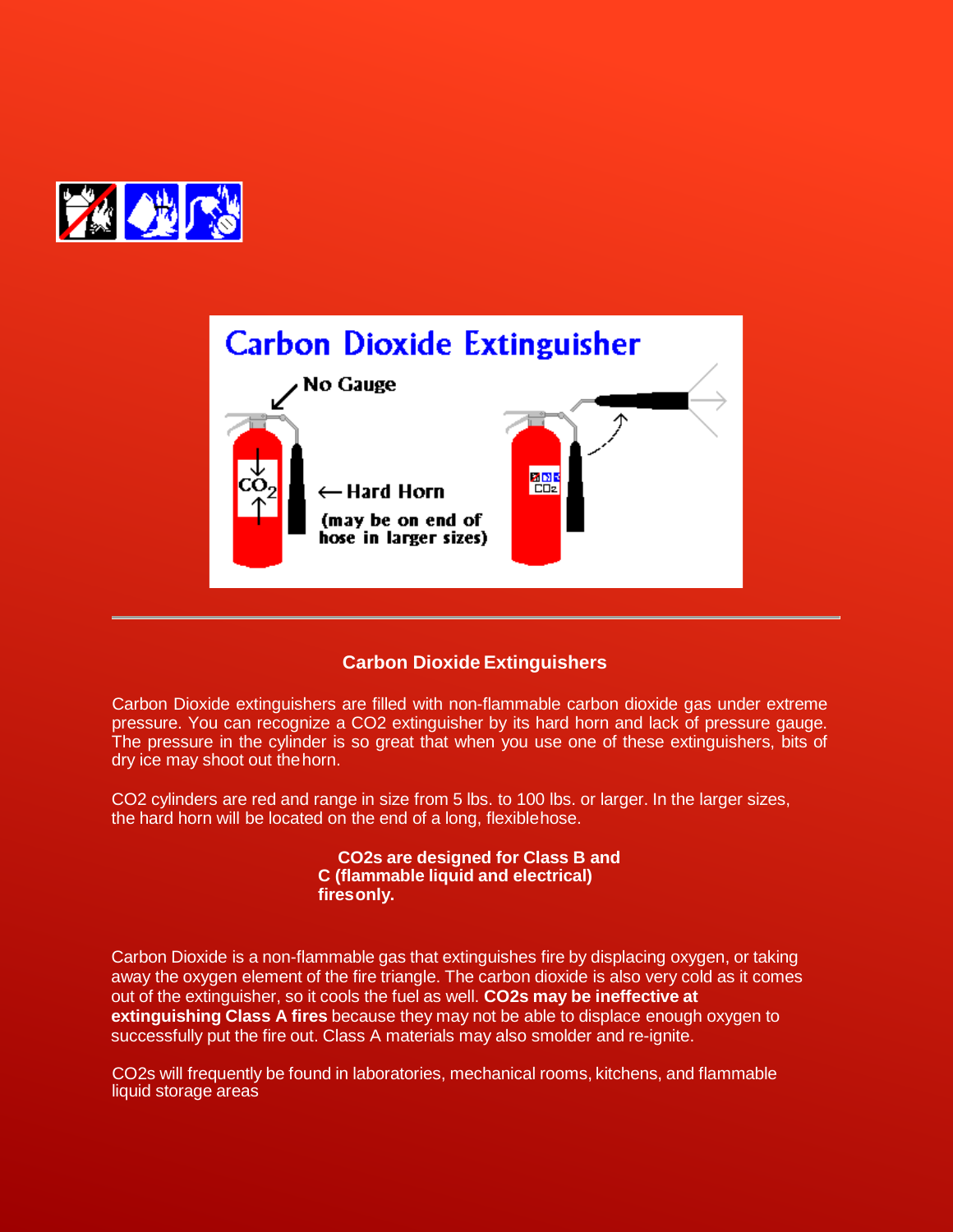



## **Carbon Dioxide Extinguishers**

Carbon Dioxide extinguishers are filled with non-flammable carbon dioxide gas under extreme pressure. You can recognize a CO2 extinguisher by its hard horn and lack of pressure gauge. The pressure in the cylinder is so great that when you use one of these extinguishers, bits of dry ice may shoot out thehorn.

CO2 cylinders are red and range in size from 5 lbs. to 100 lbs. or larger. In the larger sizes, the hard horn will be located on the end of a long, flexiblehose.

> **CO2s are designed for Class B and C (flammable liquid and electrical) firesonly.**

Carbon Dioxide is a non-flammable gas that extinguishes fire by displacing oxygen, or taking away the oxygen element of the fire triangle. The carbon dioxide is also very cold as it comes out of the extinguisher, so it cools the fuel as well. **CO2s may be ineffective at extinguishing Class A fires** because they may not be able to displace enough oxygen to successfully put the fire out. Class A materials may also smolder and re-ignite.

CO2s will frequently be found in laboratories, mechanical rooms, kitchens, and flammable liquid storage areas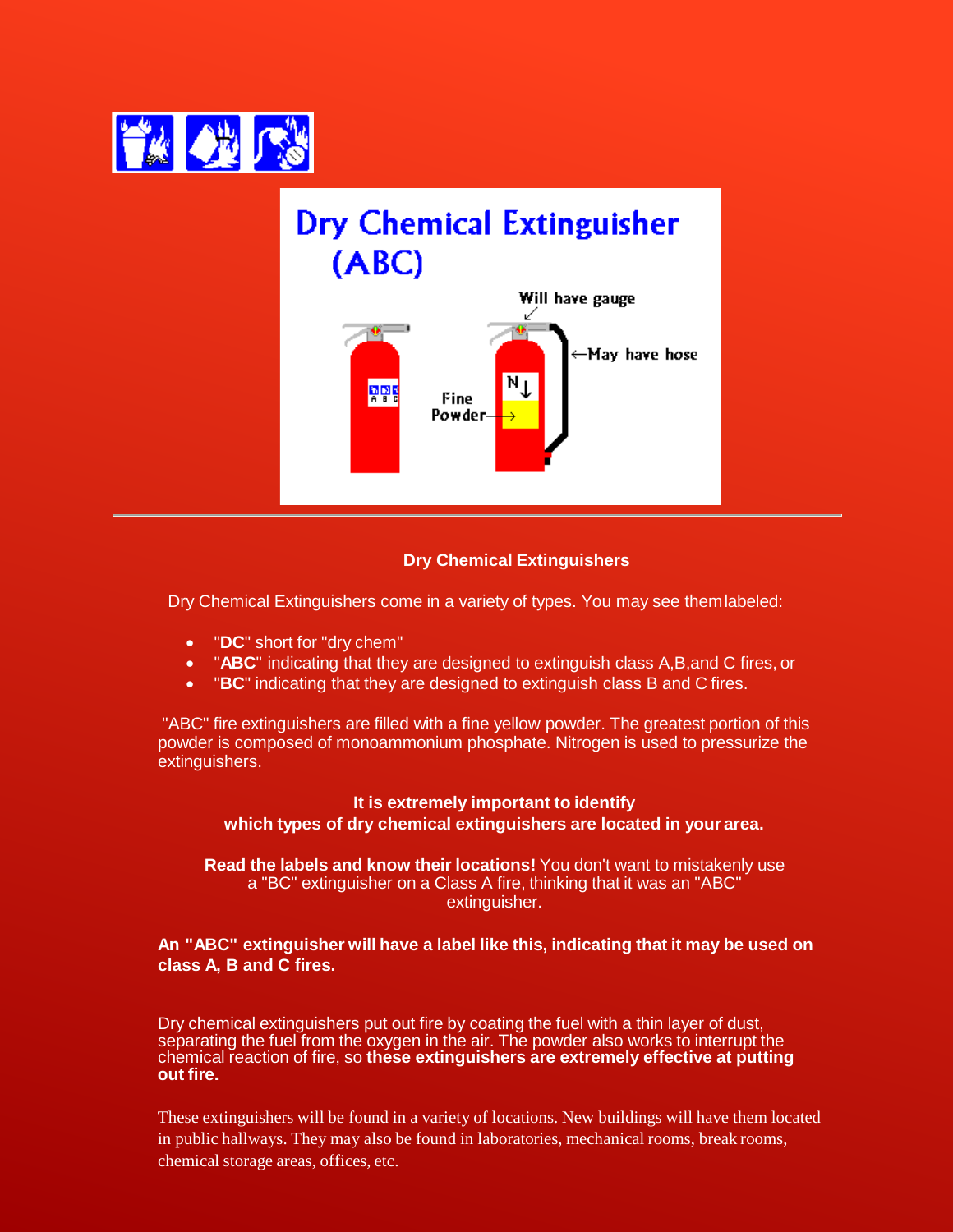



## **Dry Chemical Extinguishers**

Dry Chemical Extinguishers come in a variety of types. You may see themlabeled:

- "**DC**" short for "dry chem"
- "**ABC**" indicating that they are designed to extinguish class A,B,and C fires, or
- "**BC**" indicating that they are designed to extinguish class B and C fires.

"ABC" fire extinguishers are filled with a fine yellow powder. The greatest portion of this powder is composed of monoammonium phosphate. Nitrogen is used to pressurize the extinguishers.

## **It is extremely important to identify which types of dry chemical extinguishers are located in your area.**

**Read the labels and know their locations!** You don't want to mistakenly use a "BC" extinguisher on a Class A fire, thinking that it was an "ABC" extinguisher.

## **An "ABC" extinguisher will have a label like this, indicating that it may be used on class A, B and C fires.**

Dry chemical extinguishers put out fire by coating the fuel with a thin layer of dust, separating the fuel from the oxygen in the air. The powder also works to interrupt the chemical reaction of fire, so **these extinguishers are extremely effective at putting out fire.**

These extinguishers will be found in a variety of locations. New buildings will have them located in public hallways. They may also be found in laboratories, mechanical rooms, break rooms, chemical storage areas, offices, etc.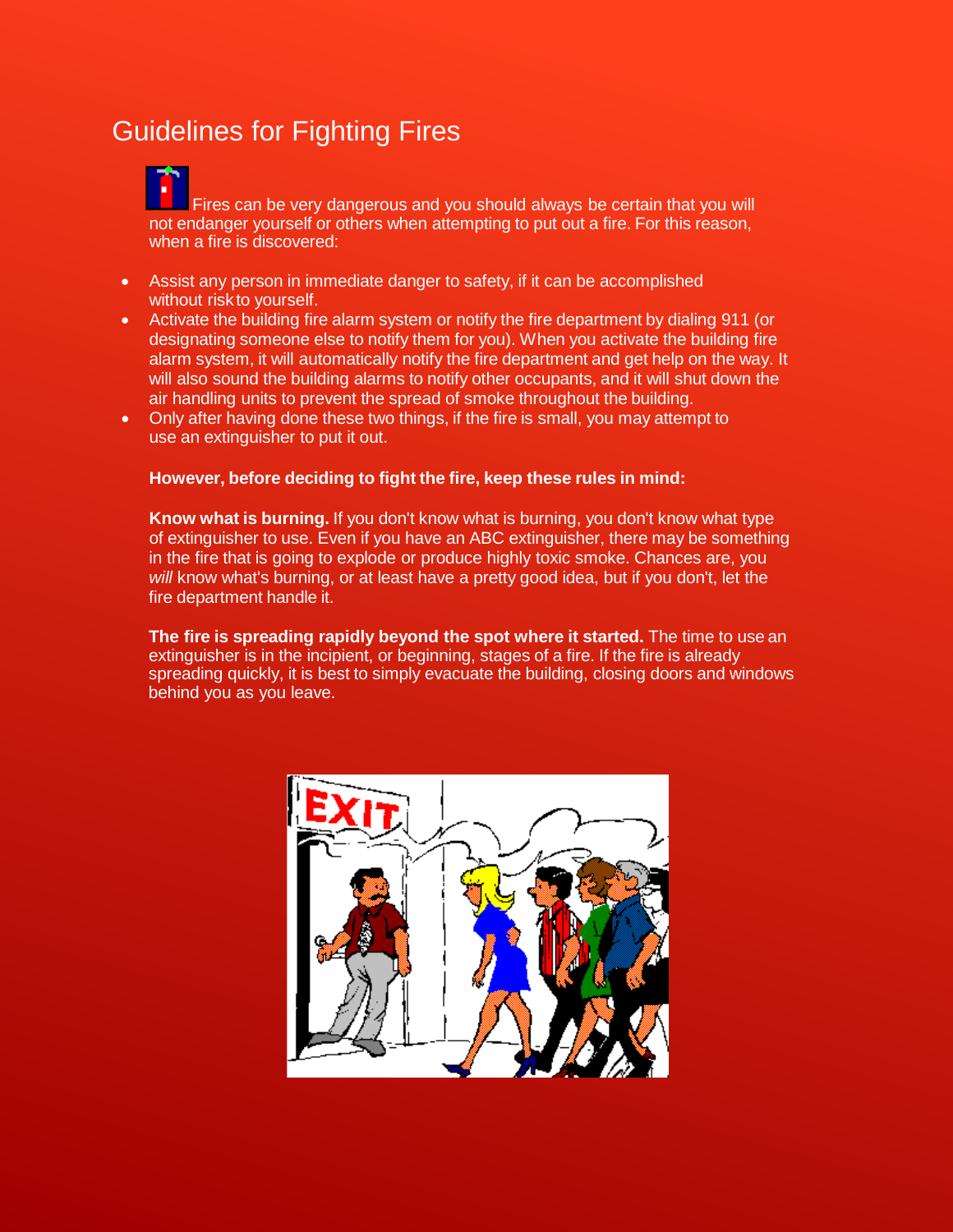## Guidelines for Fighting Fires

Fires can be very dangerous and you should always be certain that you will not endanger yourself or others when attempting to put out a fire. For this reason, when a fire is discovered:

- Assist any person in immediate danger to safety, if it can be accomplished without risk to yourself.
- Activate the building fire alarm system or notify the fire department by dialing 911 (or designating someone else to notify them for you). When you activate the building fire alarm system, it will automatically notify the fire department and get help on the way. It will also sound the building alarms to notify other occupants, and it will shut down the air handling units to prevent the spread of smoke throughout the building.
- Only after having done these two things, if the fire is small, you may attempt to use an extinguisher to put it out.

## **However, before deciding to fight the fire, keep these rules in mind:**

**Know what is burning.** If you don't know what is burning, you don't know what type of extinguisher to use. Even if you have an ABC extinguisher, there may be something in the fire that is going to explode or produce highly toxic smoke. Chances are, you *will* know what's burning, or at least have a pretty good idea, but if you don't, let the fire department handle it.

**The fire is spreading rapidly beyond the spot where it started.** The time to use an extinguisher is in the incipient, or beginning, stages of a fire. If the fire is already spreading quickly, it is best to simply evacuate the building, closing doors and windows behind you as you leave.

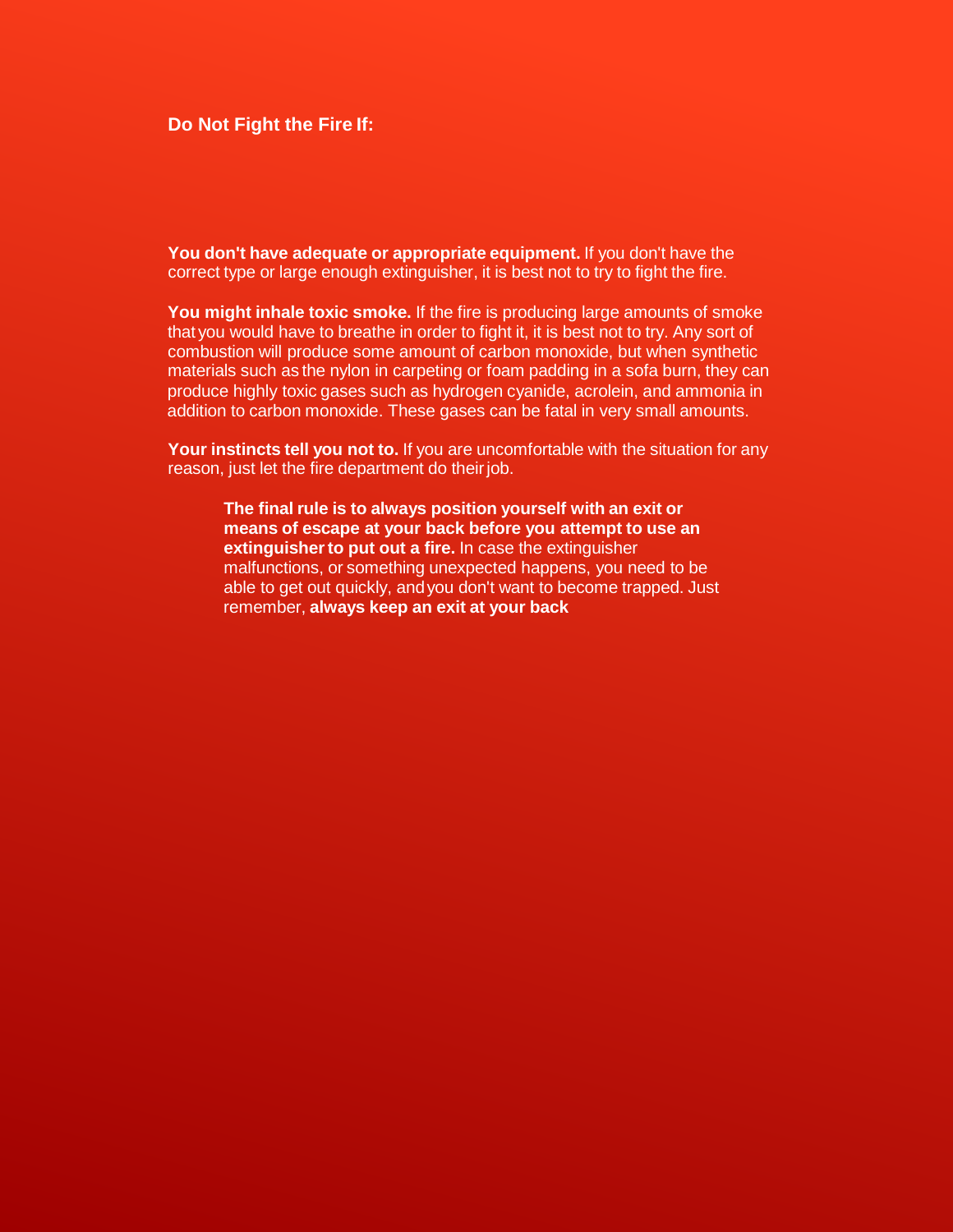## **Do Not Fight the Fire If:**

**You don't have adequate or appropriate equipment.** If you don't have the correct type or large enough extinguisher, it is best not to try to fight the fire.

**You might inhale toxic smoke.** If the fire is producing large amounts of smoke that you would have to breathe in order to fight it, it is best not to try. Any sort of combustion will produce some amount of carbon monoxide, but when synthetic materials such as the nylon in carpeting or foam padding in a sofa burn, they can produce highly toxic gases such as hydrogen cyanide, acrolein, and ammonia in addition to carbon monoxide. These gases can be fatal in very small amounts.

**Your instincts tell you not to.** If you are uncomfortable with the situation for any reason, just let the fire department do theirjob.

**The final rule is to always position yourself with an exit or means of escape at your back before you attempt to use an extinguisherto put out a fire.** In case the extinguisher malfunctions, or something unexpected happens, you need to be able to get out quickly, andyou don't want to become trapped. Just remember, **always keep an exit at your back**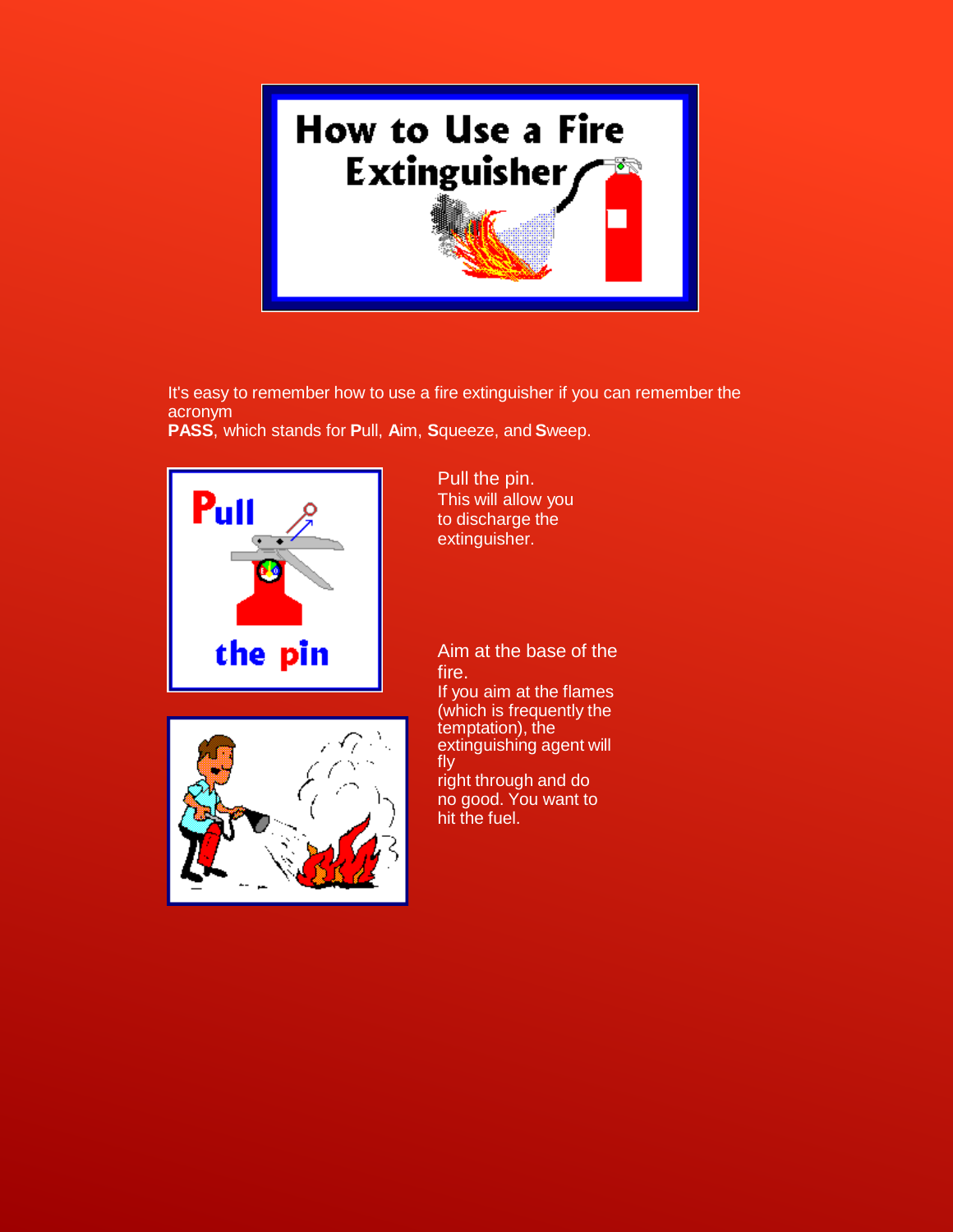

It's easy to remember how to use a fire extinguisher if you can remember the acronym

**PASS**, which stands for **P**ull, **A**im, **S**queeze, and **S**weep.



Pull the pin. This will allow you to discharge the extinguisher.

Aim at the base of the fire.

If you aim at the flames (which is frequently the temptation), the extinguishing agent will fly right through and do

no good. You want to hit the fuel.